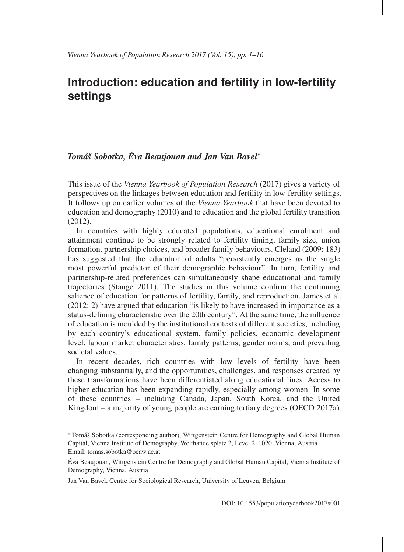## **Introduction: education and fertility in low-fertility settings**

#### *Toma´s Sobotka, ˇ Eva Beaujouan and Jan Van Bavel ´* <sup>∗</sup>

This issue of the *Vienna Yearbook of Population Research* (2017) gives a variety of perspectives on the linkages between education and fertility in low-fertility settings. It follows up on earlier volumes of the *Vienna Yearbook* that have been devoted to education and demography (2010) and to education and the global fertility transition (2012).

In countries with highly educated populations, educational enrolment and attainment continue to be strongly related to fertility timing, family size, union formation, partnership choices, and broader family behaviours. Cleland (2009: 183) has suggested that the education of adults "persistently emerges as the single most powerful predictor of their demographic behaviour". In turn, fertility and partnership-related preferences can simultaneously shape educational and family trajectories (Stange 2011). The studies in this volume confirm the continuing salience of education for patterns of fertility, family, and reproduction. James et al. (2012: 2) have argued that education "is likely to have increased in importance as a status-defining characteristic over the 20th century". At the same time, the influence of education is moulded by the institutional contexts of different societies, including by each country's educational system, family policies, economic development level, labour market characteristics, family patterns, gender norms, and prevailing societal values.

In recent decades, rich countries with low levels of fertility have been changing substantially, and the opportunities, challenges, and responses created by these transformations have been differentiated along educational lines. Access to higher education has been expanding rapidly, especially among women. In some of these countries – including Canada, Japan, South Korea, and the United Kingdom – a majority of young people are earning tertiary degrees (OECD 2017a).

<sup>∗</sup> Toma´s Sobotka (corresponding author), Wittgenstein Centre for Demography and Global Human ˇ Capital, Vienna Institute of Demography, Welthandelsplatz 2, Level 2, 1020, Vienna, Austria Email: tomas.sobotka@oeaw.ac.at

Eva Beaujouan, Wittgenstein Centre for Demography and Global Human Capital, Vienna Institute of ´ Demography, Vienna, Austria

Jan Van Bavel, Centre for Sociological Research, University of Leuven, Belgium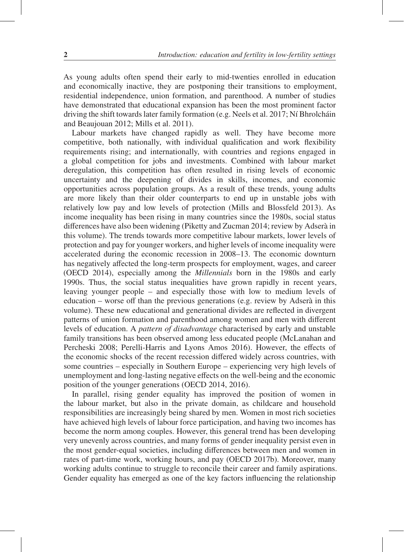As young adults often spend their early to mid-twenties enrolled in education and economically inactive, they are postponing their transitions to employment, residential independence, union formation, and parenthood. A number of studies have demonstrated that educational expansion has been the most prominent factor driving the shift towards later family formation (e.g. Neels et al.  $2017$ ; Ní Bhrolcháin and Beaujouan 2012; Mills et al. 2011).

Labour markets have changed rapidly as well. They have become more competitive, both nationally, with individual qualification and work flexibility requirements rising; and internationally, with countries and regions engaged in a global competition for jobs and investments. Combined with labour market deregulation, this competition has often resulted in rising levels of economic uncertainty and the deepening of divides in skills, incomes, and economic opportunities across population groups. As a result of these trends, young adults are more likely than their older counterparts to end up in unstable jobs with relatively low pay and low levels of protection (Mills and Blossfeld 2013). As income inequality has been rising in many countries since the 1980s, social status differences have also been widening (Piketty and Zucman 2014; review by Adsera in ` this volume). The trends towards more competitive labour markets, lower levels of protection and pay for younger workers, and higher levels of income inequality were accelerated during the economic recession in 2008–13. The economic downturn has negatively affected the long-term prospects for employment, wages, and career (OECD 2014), especially among the *Millennials* born in the 1980s and early 1990s. Thus, the social status inequalities have grown rapidly in recent years, leaving younger people – and especially those with low to medium levels of education – worse off than the previous generations (e.g. review by Adserà in this volume). These new educational and generational divides are reflected in divergent patterns of union formation and parenthood among women and men with different levels of education. A *pattern of disadvantage* characterised by early and unstable family transitions has been observed among less educated people (McLanahan and Percheski 2008; Perelli-Harris and Lyons Amos 2016). However, the effects of the economic shocks of the recent recession differed widely across countries, with some countries – especially in Southern Europe – experiencing very high levels of unemployment and long-lasting negative effects on the well-being and the economic position of the younger generations (OECD 2014, 2016).

In parallel, rising gender equality has improved the position of women in the labour market, but also in the private domain, as childcare and household responsibilities are increasingly being shared by men. Women in most rich societies have achieved high levels of labour force participation, and having two incomes has become the norm among couples. However, this general trend has been developing very unevenly across countries, and many forms of gender inequality persist even in the most gender-equal societies, including differences between men and women in rates of part-time work, working hours, and pay (OECD 2017b). Moreover, many working adults continue to struggle to reconcile their career and family aspirations. Gender equality has emerged as one of the key factors influencing the relationship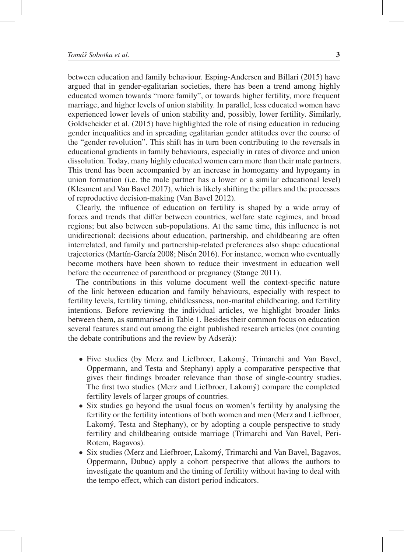between education and family behaviour. Esping-Andersen and Billari (2015) have argued that in gender-egalitarian societies, there has been a trend among highly educated women towards "more family", or towards higher fertility, more frequent marriage, and higher levels of union stability. In parallel, less educated women have experienced lower levels of union stability and, possibly, lower fertility. Similarly, Goldscheider et al. (2015) have highlighted the role of rising education in reducing gender inequalities and in spreading egalitarian gender attitudes over the course of the "gender revolution". This shift has in turn been contributing to the reversals in educational gradients in family behaviours, especially in rates of divorce and union dissolution. Today, many highly educated women earn more than their male partners. This trend has been accompanied by an increase in homogamy and hypogamy in union formation (i.e. the male partner has a lower or a similar educational level) (Klesment and Van Bavel 2017), which is likely shifting the pillars and the processes of reproductive decision-making (Van Bavel 2012).

Clearly, the influence of education on fertility is shaped by a wide array of forces and trends that differ between countries, welfare state regimes, and broad regions; but also between sub-populations. At the same time, this influence is not unidirectional: decisions about education, partnership, and childbearing are often interrelated, and family and partnership-related preferences also shape educational trajectories (Martín-García 2008; Nisén 2016). For instance, women who eventually become mothers have been shown to reduce their investment in education well before the occurrence of parenthood or pregnancy (Stange 2011).

The contributions in this volume document well the context-specific nature of the link between education and family behaviours, especially with respect to fertility levels, fertility timing, childlessness, non-marital childbearing, and fertility intentions. Before reviewing the individual articles, we highlight broader links between them, as summarised in Table 1. Besides their common focus on education several features stand out among the eight published research articles (not counting the debate contributions and the review by Adserà):

- Five studies (by Merz and Liefbroer, Lakomy, Trimarchi and Van Bavel, ´ Oppermann, and Testa and Stephany) apply a comparative perspective that gives their findings broader relevance than those of single-country studies. The first two studies (Merz and Liefbroer, Lakomý) compare the completed fertility levels of larger groups of countries.
- Six studies go beyond the usual focus on women's fertility by analysing the fertility or the fertility intentions of both women and men (Merz and Liefbroer, Lakomý, Testa and Stephany), or by adopting a couple perspective to study fertility and childbearing outside marriage (Trimarchi and Van Bavel, Peri-Rotem, Bagavos).
- Six studies (Merz and Liefbroer, Lakomy, Trimarchi and Van Bavel, Bagavos, ´ Oppermann, Dubuc) apply a cohort perspective that allows the authors to investigate the quantum and the timing of fertility without having to deal with the tempo effect, which can distort period indicators.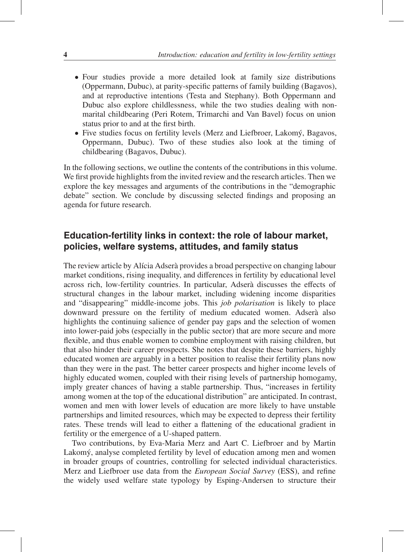- Four studies provide a more detailed look at family size distributions (Oppermann, Dubuc), at parity-specific patterns of family building (Bagavos), and at reproductive intentions (Testa and Stephany). Both Oppermann and Dubuc also explore childlessness, while the two studies dealing with nonmarital childbearing (Peri Rotem, Trimarchi and Van Bavel) focus on union status prior to and at the first birth.
- Five studies focus on fertility levels (Merz and Liefbroer, Lakomý, Bagavos, Oppermann, Dubuc). Two of these studies also look at the timing of childbearing (Bagavos, Dubuc).

In the following sections, we outline the contents of the contributions in this volume. We first provide highlights from the invited review and the research articles. Then we explore the key messages and arguments of the contributions in the "demographic debate" section. We conclude by discussing selected findings and proposing an agenda for future research.

### **Education-fertility links in context: the role of labour market, policies, welfare systems, attitudes, and family status**

The review article by Alícia Adserà provides a broad perspective on changing labour market conditions, rising inequality, and differences in fertility by educational level across rich, low-fertility countries. In particular, Adserà discusses the effects of structural changes in the labour market, including widening income disparities and "disappearing" middle-income jobs. This *job polarisation* is likely to place downward pressure on the fertility of medium educated women. Adsera also highlights the continuing salience of gender pay gaps and the selection of women into lower-paid jobs (especially in the public sector) that are more secure and more flexible, and thus enable women to combine employment with raising children, but that also hinder their career prospects. She notes that despite these barriers, highly educated women are arguably in a better position to realise their fertility plans now than they were in the past. The better career prospects and higher income levels of highly educated women, coupled with their rising levels of partnership homogamy, imply greater chances of having a stable partnership. Thus, "increases in fertility among women at the top of the educational distribution" are anticipated. In contrast, women and men with lower levels of education are more likely to have unstable partnerships and limited resources, which may be expected to depress their fertility rates. These trends will lead to either a flattening of the educational gradient in fertility or the emergence of a U-shaped pattern.

Two contributions, by Eva-Maria Merz and Aart C. Liefbroer and by Martin Lakomý, analyse completed fertility by level of education among men and women in broader groups of countries, controlling for selected individual characteristics. Merz and Liefbroer use data from the *European Social Survey* (ESS), and refine the widely used welfare state typology by Esping-Andersen to structure their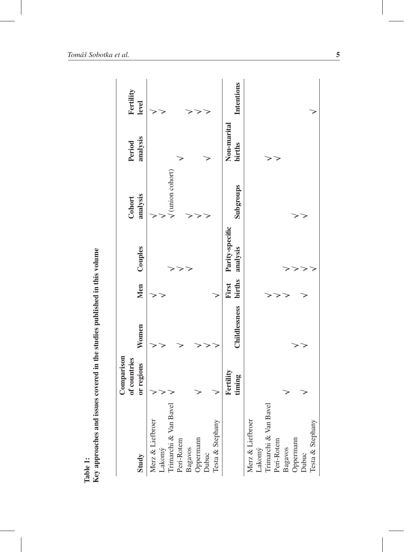| Study                                               | Comparison<br>of countries<br>or regions | Women         | Men             | Couples                     | analysis<br>Cohort           | analysis<br>Period    | Fertility<br>level |
|-----------------------------------------------------|------------------------------------------|---------------|-----------------|-----------------------------|------------------------------|-----------------------|--------------------|
| Merz & Liefbroer                                    |                                          |               |                 |                             |                              |                       |                    |
| $\rm Lakom\hat{y}$ Trimarchi & Van Bavel Peri-Rotem |                                          |               |                 |                             | $\sqrt{\text{union cohort}}$ |                       |                    |
| Bagavos<br>Oppermann                                |                                          |               |                 |                             |                              |                       |                    |
| Dubuc                                               |                                          |               |                 |                             |                              |                       |                    |
| Testa & Stephany                                    |                                          |               |                 |                             |                              |                       |                    |
|                                                     | $F$ ertility<br>timing                   | Childlessness | births<br>First | Parity-specific<br>analysis | Subgroups                    | Non-marital<br>births | Intentions         |
| Trimarchi & Van Bavel<br>Merz & Liefbroer<br>Lakomý |                                          |               |                 |                             |                              |                       |                    |
| Peri-Rotem                                          |                                          |               |                 |                             |                              | ₹                     |                    |
| Bagavos<br>Oppermann<br>Dubuc                       |                                          |               |                 |                             |                              |                       |                    |
| Testa & Stephany                                    |                                          |               |                 |                             |                              |                       |                    |
|                                                     |                                          |               |                 |                             |                              |                       |                    |

Table 1:<br>Key approaches and issues covered in the studies published in this volume Key approaches and issues covered in the studies published in this volume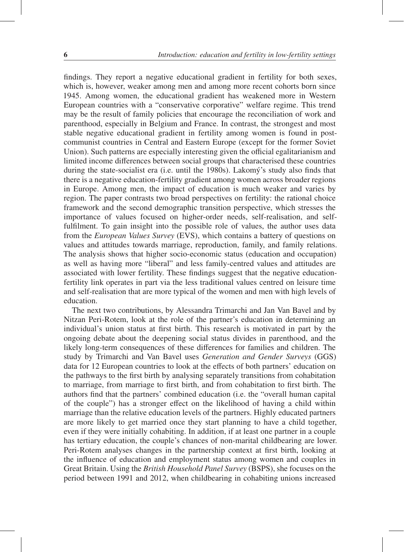findings. They report a negative educational gradient in fertility for both sexes, which is, however, weaker among men and among more recent cohorts born since 1945. Among women, the educational gradient has weakened more in Western European countries with a "conservative corporative" welfare regime. This trend may be the result of family policies that encourage the reconciliation of work and parenthood, especially in Belgium and France. In contrast, the strongest and most stable negative educational gradient in fertility among women is found in postcommunist countries in Central and Eastern Europe (except for the former Soviet Union). Such patterns are especially interesting given the official egalitarianism and limited income differences between social groups that characterised these countries during the state-socialist era (i.e. until the 1980s). Lakomý's study also finds that there is a negative education-fertility gradient among women across broader regions in Europe. Among men, the impact of education is much weaker and varies by region. The paper contrasts two broad perspectives on fertility: the rational choice framework and the second demographic transition perspective, which stresses the importance of values focused on higher-order needs, self-realisation, and selffulfilment. To gain insight into the possible role of values, the author uses data from the *European Values Survey* (EVS), which contains a battery of questions on values and attitudes towards marriage, reproduction, family, and family relations. The analysis shows that higher socio-economic status (education and occupation) as well as having more "liberal" and less family-centred values and attitudes are associated with lower fertility. These findings suggest that the negative educationfertility link operates in part via the less traditional values centred on leisure time and self-realisation that are more typical of the women and men with high levels of education.

The next two contributions, by Alessandra Trimarchi and Jan Van Bavel and by Nitzan Peri-Rotem, look at the role of the partner's education in determining an individual's union status at first birth. This research is motivated in part by the ongoing debate about the deepening social status divides in parenthood, and the likely long-term consequences of these differences for families and children. The study by Trimarchi and Van Bavel uses *Generation and Gender Surveys* (GGS) data for 12 European countries to look at the effects of both partners' education on the pathways to the first birth by analysing separately transitions from cohabitation to marriage, from marriage to first birth, and from cohabitation to first birth. The authors find that the partners' combined education (i.e. the "overall human capital of the couple") has a stronger effect on the likelihood of having a child within marriage than the relative education levels of the partners. Highly educated partners are more likely to get married once they start planning to have a child together, even if they were initially cohabiting. In addition, if at least one partner in a couple has tertiary education, the couple's chances of non-marital childbearing are lower. Peri-Rotem analyses changes in the partnership context at first birth, looking at the influence of education and employment status among women and couples in Great Britain. Using the *British Household Panel Survey* (BSPS), she focuses on the period between 1991 and 2012, when childbearing in cohabiting unions increased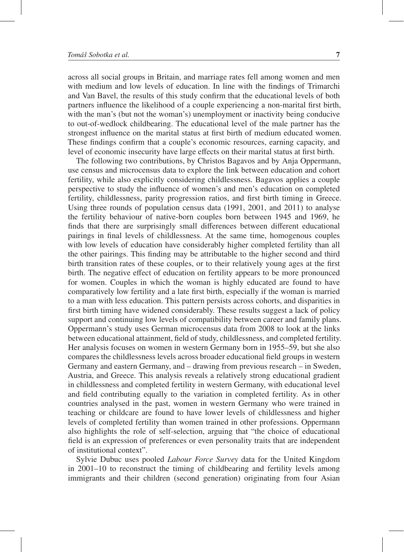across all social groups in Britain, and marriage rates fell among women and men with medium and low levels of education. In line with the findings of Trimarchi and Van Bavel, the results of this study confirm that the educational levels of both partners influence the likelihood of a couple experiencing a non-marital first birth, with the man's (but not the woman's) unemployment or inactivity being conducive to out-of-wedlock childbearing. The educational level of the male partner has the strongest influence on the marital status at first birth of medium educated women. These findings confirm that a couple's economic resources, earning capacity, and level of economic insecurity have large effects on their marital status at first birth.

The following two contributions, by Christos Bagavos and by Anja Oppermann, use census and microcensus data to explore the link between education and cohort fertility, while also explicitly considering childlessness. Bagavos applies a couple perspective to study the influence of women's and men's education on completed fertility, childlessness, parity progression ratios, and first birth timing in Greece. Using three rounds of population census data (1991, 2001, and 2011) to analyse the fertility behaviour of native-born couples born between 1945 and 1969, he finds that there are surprisingly small differences between different educational pairings in final levels of childlessness. At the same time, homogenous couples with low levels of education have considerably higher completed fertility than all the other pairings. This finding may be attributable to the higher second and third birth transition rates of these couples, or to their relatively young ages at the first birth. The negative effect of education on fertility appears to be more pronounced for women. Couples in which the woman is highly educated are found to have comparatively low fertility and a late first birth, especially if the woman is married to a man with less education. This pattern persists across cohorts, and disparities in first birth timing have widened considerably. These results suggest a lack of policy support and continuing low levels of compatibility between career and family plans. Oppermann's study uses German microcensus data from 2008 to look at the links between educational attainment, field of study, childlessness, and completed fertility. Her analysis focuses on women in western Germany born in 1955–59, but she also compares the childlessness levels across broader educational field groups in western Germany and eastern Germany, and – drawing from previous research – in Sweden, Austria, and Greece. This analysis reveals a relatively strong educational gradient in childlessness and completed fertility in western Germany, with educational level and field contributing equally to the variation in completed fertility. As in other countries analysed in the past, women in western Germany who were trained in teaching or childcare are found to have lower levels of childlessness and higher levels of completed fertility than women trained in other professions. Oppermann also highlights the role of self-selection, arguing that "the choice of educational field is an expression of preferences or even personality traits that are independent of institutional context".

Sylvie Dubuc uses pooled *Labour Force Survey* data for the United Kingdom in 2001–10 to reconstruct the timing of childbearing and fertility levels among immigrants and their children (second generation) originating from four Asian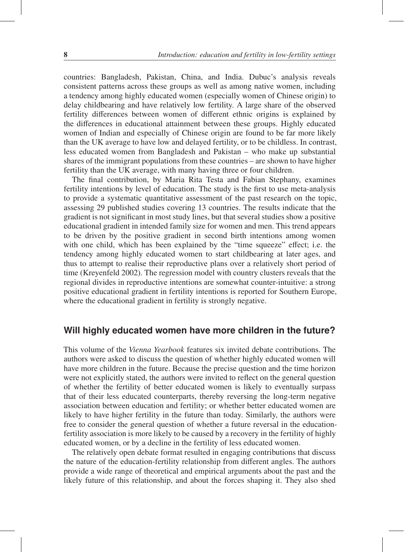countries: Bangladesh, Pakistan, China, and India. Dubuc's analysis reveals consistent patterns across these groups as well as among native women, including a tendency among highly educated women (especially women of Chinese origin) to delay childbearing and have relatively low fertility. A large share of the observed fertility differences between women of different ethnic origins is explained by the differences in educational attainment between these groups. Highly educated women of Indian and especially of Chinese origin are found to be far more likely than the UK average to have low and delayed fertility, or to be childless. In contrast, less educated women from Bangladesh and Pakistan – who make up substantial shares of the immigrant populations from these countries – are shown to have higher fertility than the UK average, with many having three or four children.

The final contribution, by Maria Rita Testa and Fabian Stephany, examines fertility intentions by level of education. The study is the first to use meta-analysis to provide a systematic quantitative assessment of the past research on the topic, assessing 29 published studies covering 13 countries. The results indicate that the gradient is not significant in most study lines, but that several studies show a positive educational gradient in intended family size for women and men. This trend appears to be driven by the positive gradient in second birth intentions among women with one child, which has been explained by the "time squeeze" effect; i.e. the tendency among highly educated women to start childbearing at later ages, and thus to attempt to realise their reproductive plans over a relatively short period of time (Kreyenfeld 2002). The regression model with country clusters reveals that the regional divides in reproductive intentions are somewhat counter-intuitive: a strong positive educational gradient in fertility intentions is reported for Southern Europe, where the educational gradient in fertility is strongly negative.

#### **Will highly educated women have more children in the future?**

This volume of the *Vienna Yearbook* features six invited debate contributions. The authors were asked to discuss the question of whether highly educated women will have more children in the future. Because the precise question and the time horizon were not explicitly stated, the authors were invited to reflect on the general question of whether the fertility of better educated women is likely to eventually surpass that of their less educated counterparts, thereby reversing the long-term negative association between education and fertility; or whether better educated women are likely to have higher fertility in the future than today. Similarly, the authors were free to consider the general question of whether a future reversal in the educationfertility association is more likely to be caused by a recovery in the fertility of highly educated women, or by a decline in the fertility of less educated women.

The relatively open debate format resulted in engaging contributions that discuss the nature of the education-fertility relationship from different angles. The authors provide a wide range of theoretical and empirical arguments about the past and the likely future of this relationship, and about the forces shaping it. They also shed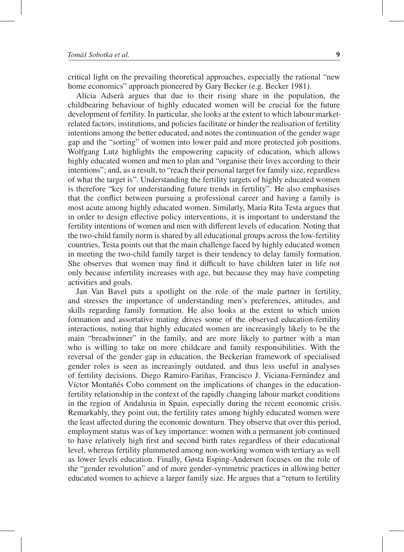critical light on the prevailing theoretical approaches, especially the rational "new home economics" approach pioneered by Gary Becker (e.g. Becker 1981).

Alícia Adserà argues that due to their rising share in the population, the childbearing behaviour of highly educated women will be crucial for the future development of fertility. In particular, she looks at the extent to which labour marketrelated factors, institutions, and policies facilitate or hinder the realisation of fertility intentions among the better educated, and notes the continuation of the gender wage gap and the "sorting" of women into lower paid and more protected job positions. Wolfgang Lutz highlights the empowering capacity of education, which allows highly educated women and men to plan and "organise their lives according to their intentions"; and, as a result, to "reach their personal target for family size, regardless of what the target is". Understanding the fertility targets of highly educated women is therefore "key for understanding future trends in fertility". He also emphasises that the conflict between pursuing a professional career and having a family is most acute among highly educated women. Similarly, Maria Rita Testa argues that in order to design effective policy interventions, it is important to understand the fertility intentions of women and men with different levels of education. Noting that the two-child family norm is shared by all educational groups across the low-fertility countries, Testa points out that the main challenge faced by highly educated women in meeting the two-child family target is their tendency to delay family formation. She observes that women may find it difficult to have children later in life not only because infertility increases with age, but because they may have competing activities and goals.

Jan Van Bavel puts a spotlight on the role of the male partner in fertility, and stresses the importance of understanding men's preferences, attitudes, and skills regarding family formation. He also looks at the extent to which union formation and assortative mating drives some of the observed education-fertility interactions, noting that highly educated women are increasingly likely to be the main "breadwinner" in the family, and are more likely to partner with a man who is willing to take on more childcare and family responsibilities. With the reversal of the gender gap in education, the Beckerian framework of specialised gender roles is seen as increasingly outdated, and thus less useful in analyses of fertility decisions. Diego Ramiro-Fariñas, Francisco J. Viciana-Fernández and Víctor Montañés Cobo comment on the implications of changes in the educationfertility relationship in the context of the rapidly changing labour market conditions in the region of Andalusia in Spain, especially during the recent economic crisis. Remarkably, they point out, the fertility rates among highly educated women were the least affected during the economic downturn. They observe that over this period, employment status was of key importance: women with a permanent job continued to have relatively high first and second birth rates regardless of their educational level, whereas fertility plummeted among non-working women with tertiary as well as lower levels education. Finally, Gøsta Esping-Andersen focuses on the role of the "gender revolution" and of more gender-symmetric practices in allowing better educated women to achieve a larger family size. He argues that a "return to fertility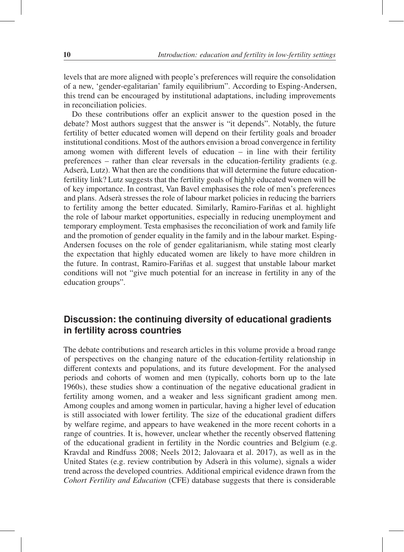levels that are more aligned with people's preferences will require the consolidation of a new, 'gender-egalitarian' family equilibrium". According to Esping-Andersen, this trend can be encouraged by institutional adaptations, including improvements in reconciliation policies.

Do these contributions offer an explicit answer to the question posed in the debate? Most authors suggest that the answer is "it depends". Notably, the future fertility of better educated women will depend on their fertility goals and broader institutional conditions. Most of the authors envision a broad convergence in fertility among women with different levels of education – in line with their fertility preferences – rather than clear reversals in the education-fertility gradients (e.g. Adserà, Lutz). What then are the conditions that will determine the future educationfertility link? Lutz suggests that the fertility goals of highly educated women will be of key importance. In contrast, Van Bavel emphasises the role of men's preferences and plans. Adserà stresses the role of labour market policies in reducing the barriers to fertility among the better educated. Similarly, Ramiro-Fariñas et al. highlight the role of labour market opportunities, especially in reducing unemployment and temporary employment. Testa emphasises the reconciliation of work and family life and the promotion of gender equality in the family and in the labour market. Esping-Andersen focuses on the role of gender egalitarianism, while stating most clearly the expectation that highly educated women are likely to have more children in the future. In contrast, Ramiro-Fariñas et al. suggest that unstable labour market conditions will not "give much potential for an increase in fertility in any of the education groups".

#### **Discussion: the continuing diversity of educational gradients in fertility across countries**

The debate contributions and research articles in this volume provide a broad range of perspectives on the changing nature of the education-fertility relationship in different contexts and populations, and its future development. For the analysed periods and cohorts of women and men (typically, cohorts born up to the late 1960s), these studies show a continuation of the negative educational gradient in fertility among women, and a weaker and less significant gradient among men. Among couples and among women in particular, having a higher level of education is still associated with lower fertility. The size of the educational gradient differs by welfare regime, and appears to have weakened in the more recent cohorts in a range of countries. It is, however, unclear whether the recently observed flattening of the educational gradient in fertility in the Nordic countries and Belgium (e.g. Kravdal and Rindfuss 2008; Neels 2012; Jalovaara et al. 2017), as well as in the United States (e.g. review contribution by Adsera in this volume), signals a wider ` trend across the developed countries. Additional empirical evidence drawn from the *Cohort Fertility and Education* (CFE) database suggests that there is considerable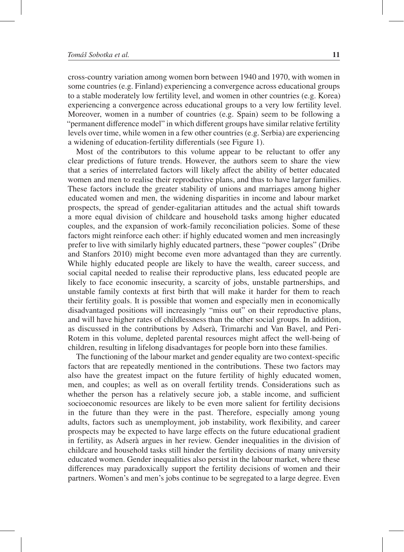cross-country variation among women born between 1940 and 1970, with women in some countries (e.g. Finland) experiencing a convergence across educational groups to a stable moderately low fertility level, and women in other countries (e.g. Korea) experiencing a convergence across educational groups to a very low fertility level. Moreover, women in a number of countries (e.g. Spain) seem to be following a "permanent difference model" in which different groups have similar relative fertility levels over time, while women in a few other countries (e.g. Serbia) are experiencing a widening of education-fertility differentials (see Figure 1).

Most of the contributors to this volume appear to be reluctant to offer any clear predictions of future trends. However, the authors seem to share the view that a series of interrelated factors will likely affect the ability of better educated women and men to realise their reproductive plans, and thus to have larger families. These factors include the greater stability of unions and marriages among higher educated women and men, the widening disparities in income and labour market prospects, the spread of gender-egalitarian attitudes and the actual shift towards a more equal division of childcare and household tasks among higher educated couples, and the expansion of work-family reconciliation policies. Some of these factors might reinforce each other: if highly educated women and men increasingly prefer to live with similarly highly educated partners, these "power couples" (Dribe and Stanfors 2010) might become even more advantaged than they are currently. While highly educated people are likely to have the wealth, career success, and social capital needed to realise their reproductive plans, less educated people are likely to face economic insecurity, a scarcity of jobs, unstable partnerships, and unstable family contexts at first birth that will make it harder for them to reach their fertility goals. It is possible that women and especially men in economically disadvantaged positions will increasingly "miss out" on their reproductive plans, and will have higher rates of childlessness than the other social groups. In addition, as discussed in the contributions by Adsera, Trimarchi and Van Bavel, and Peri- ` Rotem in this volume, depleted parental resources might affect the well-being of children, resulting in lifelong disadvantages for people born into these families.

The functioning of the labour market and gender equality are two context-specific factors that are repeatedly mentioned in the contributions. These two factors may also have the greatest impact on the future fertility of highly educated women, men, and couples; as well as on overall fertility trends. Considerations such as whether the person has a relatively secure job, a stable income, and sufficient socioeconomic resources are likely to be even more salient for fertility decisions in the future than they were in the past. Therefore, especially among young adults, factors such as unemployment, job instability, work flexibility, and career prospects may be expected to have large effects on the future educational gradient in fertility, as Adserà argues in her review. Gender inequalities in the division of childcare and household tasks still hinder the fertility decisions of many university educated women. Gender inequalities also persist in the labour market, where these differences may paradoxically support the fertility decisions of women and their partners. Women's and men's jobs continue to be segregated to a large degree. Even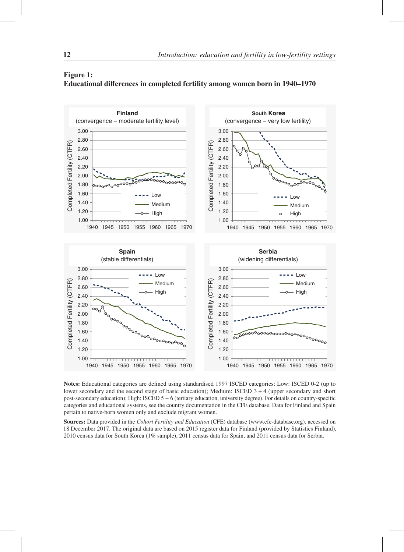

#### Figure 1: Educational differences in completed fertility among women born in 1940–1970

Notes: Educational categories are defined using standardised 1997 ISCED categories: Low: ISCED 0-2 (up to lower secondary and the second stage of basic education); Medium: ISCED 3 + 4 (upper secondary and short post-secondary education); High: ISCED 5 + 6 (tertiary education, university degree). For details on country-specific categories and educational systems, see the country documentation in the CFE database. Data for Finland and Spain pertain to native-born women only and exclude migrant women.

Sources: Data provided in the *Cohort Fertility and Education* (CFE) database (www.cfe-database.org), accessed on 18 December 2017. The original data are based on 2015 register data for Finland (provided by Statistics Finland), 2010 census data for South Korea (1% sample), 2011 census data for Spain, and 2011 census data for Serbia.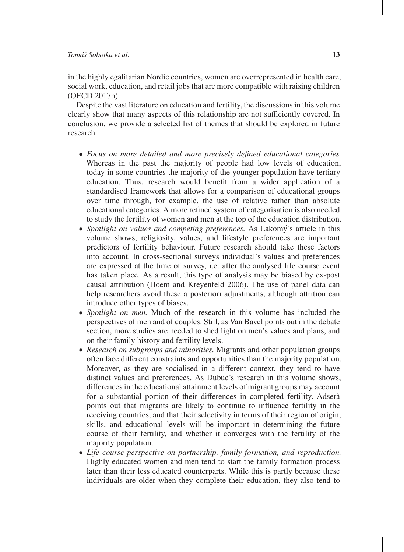in the highly egalitarian Nordic countries, women are overrepresented in health care, social work, education, and retail jobs that are more compatible with raising children (OECD 2017b).

Despite the vast literature on education and fertility, the discussions in this volume clearly show that many aspects of this relationship are not sufficiently covered. In conclusion, we provide a selected list of themes that should be explored in future research.

- *Focus on more detailed and more precisely defined educational categories.* Whereas in the past the majority of people had low levels of education, today in some countries the majority of the younger population have tertiary education. Thus, research would benefit from a wider application of a standardised framework that allows for a comparison of educational groups over time through, for example, the use of relative rather than absolute educational categories. A more refined system of categorisation is also needed to study the fertility of women and men at the top of the education distribution.
- *Spotlight on values and competing preferences.* As Lakomy's article in this volume shows, religiosity, values, and lifestyle preferences are important predictors of fertility behaviour. Future research should take these factors into account. In cross-sectional surveys individual's values and preferences are expressed at the time of survey, i.e. after the analysed life course event has taken place. As a result, this type of analysis may be biased by ex-post causal attribution (Hoem and Kreyenfeld 2006). The use of panel data can help researchers avoid these a posteriori adjustments, although attrition can introduce other types of biases.
- *Spotlight on men.* Much of the research in this volume has included the perspectives of men and of couples. Still, as Van Bavel points out in the debate section, more studies are needed to shed light on men's values and plans, and on their family history and fertility levels.
- *Research on subgroups and minorities.* Migrants and other population groups often face different constraints and opportunities than the majority population. Moreover, as they are socialised in a different context, they tend to have distinct values and preferences. As Dubuc's research in this volume shows, differences in the educational attainment levels of migrant groups may account for a substantial portion of their differences in completed fertility. Adsera` points out that migrants are likely to continue to influence fertility in the receiving countries, and that their selectivity in terms of their region of origin, skills, and educational levels will be important in determining the future course of their fertility, and whether it converges with the fertility of the majority population.
- *Life course perspective on partnership, family formation, and reproduction.* Highly educated women and men tend to start the family formation process later than their less educated counterparts. While this is partly because these individuals are older when they complete their education, they also tend to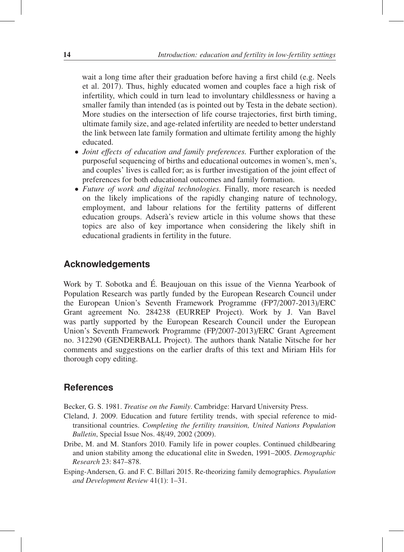wait a long time after their graduation before having a first child (e.g. Neels et al. 2017). Thus, highly educated women and couples face a high risk of infertility, which could in turn lead to involuntary childlessness or having a smaller family than intended (as is pointed out by Testa in the debate section). More studies on the intersection of life course trajectories, first birth timing, ultimate family size, and age-related infertility are needed to better understand the link between late family formation and ultimate fertility among the highly educated.

- *Joint e*ff*ects of education and family preferences.* Further exploration of the purposeful sequencing of births and educational outcomes in women's, men's, and couples' lives is called for; as is further investigation of the joint effect of preferences for both educational outcomes and family formation.
- *Future of work and digital technologies.* Finally, more research is needed on the likely implications of the rapidly changing nature of technology, employment, and labour relations for the fertility patterns of different education groups. Adserà's review article in this volume shows that these topics are also of key importance when considering the likely shift in educational gradients in fertility in the future.

#### **Acknowledgements**

Work by T. Sobotka and É. Beaujouan on this issue of the Vienna Yearbook of Population Research was partly funded by the European Research Council under the European Union's Seventh Framework Programme (FP7/2007-2013)/ERC Grant agreement No. 284238 (EURREP Project). Work by J. Van Bavel was partly supported by the European Research Council under the European Union's Seventh Framework Programme (FP/2007-2013)/ERC Grant Agreement no. 312290 (GENDERBALL Project). The authors thank Natalie Nitsche for her comments and suggestions on the earlier drafts of this text and Miriam Hils for thorough copy editing.

#### **References**

Becker, G. S. 1981. *Treatise on the Family*. Cambridge: Harvard University Press.

- Cleland, J. 2009. Education and future fertility trends, with special reference to midtransitional countries. *Completing the fertility transition, United Nations Population Bulletin*, Special Issue Nos. 48/49, 2002 (2009).
- Dribe, M. and M. Stanfors 2010. Family life in power couples. Continued childbearing and union stability among the educational elite in Sweden, 1991–2005. *Demographic Research* 23: 847–878.
- Esping-Andersen, G. and F. C. Billari 2015. Re-theorizing family demographics. *Population and Development Review* 41(1): 1–31.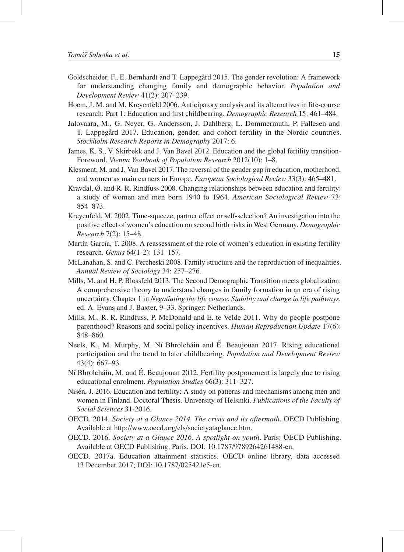- Goldscheider, F., E. Bernhardt and T. Lappegård 2015. The gender revolution: A framework for understanding changing family and demographic behavior. *Population and Development Review* 41(2): 207–239.
- Hoem, J. M. and M. Kreyenfeld 2006. Anticipatory analysis and its alternatives in life-course research: Part 1: Education and first childbearing. *Demographic Research* 15: 461–484.
- Jalovaara, M., G. Neyer, G. Andersson, J. Dahlberg, L. Dommermuth, P. Fallesen and T. Lappegård 2017. Education, gender, and cohort fertility in the Nordic countries. *Stockholm Research Reports in Demography* 2017: 6.
- James, K. S., V. Skirbekk and J. Van Bavel 2012. Education and the global fertility transition-Foreword. *Vienna Yearbook of Population Research* 2012(10): 1–8.
- Klesment, M. and J. Van Bavel 2017. The reversal of the gender gap in education, motherhood, and women as main earners in Europe. *European Sociological Review* 33(3): 465–481.
- Kravdal, Ø. and R. R. Rindfuss 2008. Changing relationships between education and fertility: a study of women and men born 1940 to 1964. *American Sociological Review* 73: 854–873.
- Kreyenfeld, M. 2002. Time-squeeze, partner effect or self-selection? An investigation into the positive effect of women's education on second birth risks in West Germany. *Demographic Research* 7(2): 15–48.
- Martín-García, T. 2008. A reassessment of the role of women's education in existing fertility research. *Genus* 64(1-2): 131–157.
- McLanahan, S. and C. Percheski 2008. Family structure and the reproduction of inequalities. *Annual Review of Sociology* 34: 257–276.
- Mills, M. and H. P. Blossfeld 2013. The Second Demographic Transition meets globalization: A comprehensive theory to understand changes in family formation in an era of rising uncertainty. Chapter 1 in *Negotiating the life course. Stability and change in life pathways*, ed. A. Evans and J. Baxter, 9–33. Springer: Netherlands.
- Mills, M., R. R. Rindfuss, P. McDonald and E. te Velde 2011. Why do people postpone parenthood? Reasons and social policy incentives. *Human Reproduction Update* 17(6): 848–860.
- Neels, K., M. Murphy, M. Ní Bhrolcháin and É. Beaujouan 2017. Rising educational participation and the trend to later childbearing. *Population and Development Review* 43(4): 667–93.
- Ní Bhrolcháin, M. and É. Beaujouan 2012. Fertility postponement is largely due to rising educational enrolment. *Population Studies* 66(3): 311–327.
- Nisen, J. 2016. Education and fertility: A study on patterns and mechanisms among men and ´ women in Finland. Doctoral Thesis. University of Helsinki. *Publications of the Faculty of Social Sciences* 31-2016.
- OECD. 2014. *Society at a Glance 2014. The crisis and its aftermath*. OECD Publishing. Available at http://www.oecd.org/els/societyataglance.htm.
- OECD. 2016. *Society at a Glance 2016. A spotlight on youth*. Paris: OECD Publishing. Available at OECD Publishing, Paris. DOI: 10.1787/9789264261488-en.
- OECD. 2017a. Education attainment statistics. OECD online library, data accessed 13 December 2017; DOI: 10.1787/025421e5-en.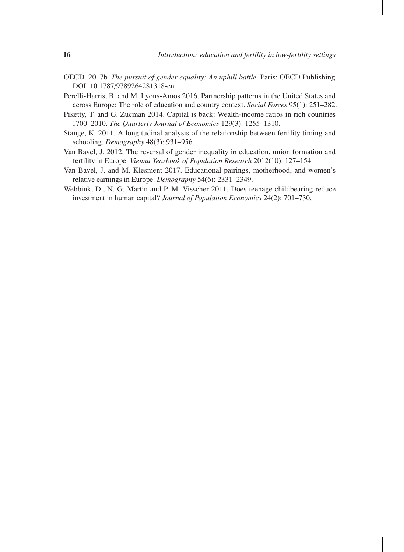- OECD. 2017b. *The pursuit of gender equality: An uphill battle*. Paris: OECD Publishing. DOI: 10.1787/9789264281318-en.
- Perelli-Harris, B. and M. Lyons-Amos 2016. Partnership patterns in the United States and across Europe: The role of education and country context. *Social Forces* 95(1): 251–282.
- Piketty, T. and G. Zucman 2014. Capital is back: Wealth-income ratios in rich countries 1700–2010. *The Quarterly Journal of Economics* 129(3): 1255–1310.
- Stange, K. 2011. A longitudinal analysis of the relationship between fertility timing and schooling. *Demography* 48(3): 931–956.
- Van Bavel, J. 2012. The reversal of gender inequality in education, union formation and fertility in Europe. *Vienna Yearbook of Population Research* 2012(10): 127–154.
- Van Bavel, J. and M. Klesment 2017. Educational pairings, motherhood, and women's relative earnings in Europe. *Demography* 54(6): 2331–2349.
- Webbink, D., N. G. Martin and P. M. Visscher 2011. Does teenage childbearing reduce investment in human capital? *Journal of Population Economics* 24(2): 701–730.